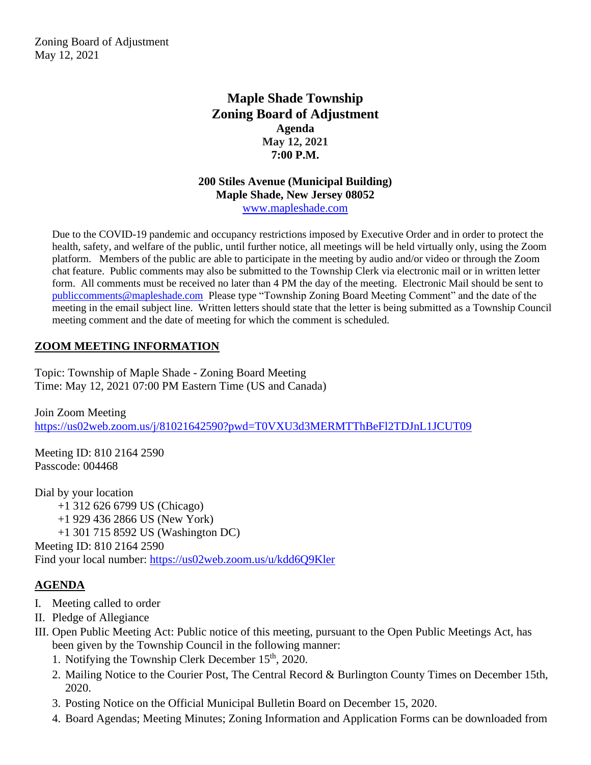Zoning Board of Adjustment May 12, 2021

# **Maple Shade Township Zoning Board of Adjustment Agenda May 12, 2021 7:00 P.M.**

#### **200 Stiles Avenue (Municipal Building) Maple Shade, New Jersey 08052** [www.mapleshade.com](http://www.mapleshade.com/)

Due to the COVID-19 pandemic and occupancy restrictions imposed by Executive Order and in order to protect the health, safety, and welfare of the public, until further notice, all meetings will be held virtually only, using the Zoom platform. Members of the public are able to participate in the meeting by audio and/or video or through the Zoom chat feature. Public comments may also be submitted to the Township Clerk via electronic mail or in written letter form. All comments must be received no later than 4 PM the day of the meeting. Electronic Mail should be sent to [publiccomments@mapleshade.com](mailto:publiccomments@mapleshade.com) Please type "Township Zoning Board Meeting Comment" and the date of the meeting in the email subject line. Written letters should state that the letter is being submitted as a Township Council meeting comment and the date of meeting for which the comment is scheduled.

# **ZOOM MEETING INFORMATION**

Topic: Township of Maple Shade - Zoning Board Meeting Time: May 12, 2021 07:00 PM Eastern Time (US and Canada)

Join Zoom Meeting <https://us02web.zoom.us/j/81021642590?pwd=T0VXU3d3MERMTThBeFl2TDJnL1JCUT09>

Meeting ID: 810 2164 2590 Passcode: 004468

Dial by your location +1 312 626 6799 US (Chicago) +1 929 436 2866 US (New York) +1 301 715 8592 US (Washington DC) Meeting ID: 810 2164 2590 Find your local number:<https://us02web.zoom.us/u/kdd6Q9Kler>

### **AGENDA**

- I. Meeting called to order
- II. Pledge of Allegiance
- III. Open Public Meeting Act: Public notice of this meeting, pursuant to the Open Public Meetings Act, has been given by the Township Council in the following manner:
	- 1. Notifying the Township Clerk December  $15<sup>th</sup>$ , 2020.
	- 2. Mailing Notice to the Courier Post, The Central Record & Burlington County Times on December 15th, 2020.
	- 3. Posting Notice on the Official Municipal Bulletin Board on December 15, 2020.
	- 4. Board Agendas; Meeting Minutes; Zoning Information and Application Forms can be downloaded from